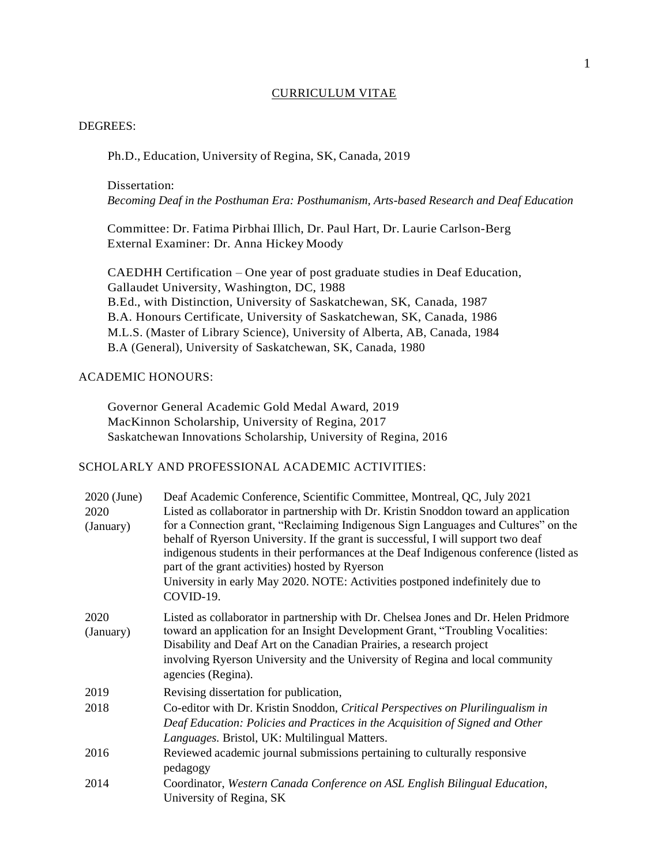### CURRICULUM VITAE

### DEGREES:

Ph.D., Education, University of Regina, SK, Canada, 2019

Dissertation:

*Becoming Deaf in the Posthuman Era: Posthumanism, Arts-based Research and Deaf Education*

Committee: Dr. Fatima Pirbhai Illich, Dr. Paul Hart, Dr. Laurie Carlson-Berg External Examiner: Dr. Anna Hickey Moody

CAEDHH Certification – One year of post graduate studies in Deaf Education, Gallaudet University, Washington, DC, 1988 B.Ed., with Distinction, University of Saskatchewan, SK, Canada, 1987 B.A. Honours Certificate, University of Saskatchewan, SK, Canada, 1986 M.L.S. (Master of Library Science), University of Alberta, AB, Canada, 1984 B.A (General), University of Saskatchewan, SK, Canada, 1980

# ACADEMIC HONOURS:

Governor General Academic Gold Medal Award, 2019 MacKinnon Scholarship, University of Regina, 2017 Saskatchewan Innovations Scholarship, University of Regina, 2016

# SCHOLARLY AND PROFESSIONAL ACADEMIC ACTIVITIES:

| 2020 (June)<br>2020<br>(January) | Deaf Academic Conference, Scientific Committee, Montreal, QC, July 2021<br>Listed as collaborator in partnership with Dr. Kristin Snoddon toward an application<br>for a Connection grant, "Reclaiming Indigenous Sign Languages and Cultures" on the<br>behalf of Ryerson University. If the grant is successful, I will support two deaf<br>indigenous students in their performances at the Deaf Indigenous conference (listed as<br>part of the grant activities) hosted by Ryerson<br>University in early May 2020. NOTE: Activities postponed indefinitely due to<br>COVID-19. |
|----------------------------------|--------------------------------------------------------------------------------------------------------------------------------------------------------------------------------------------------------------------------------------------------------------------------------------------------------------------------------------------------------------------------------------------------------------------------------------------------------------------------------------------------------------------------------------------------------------------------------------|
| 2020<br>(January)                | Listed as collaborator in partnership with Dr. Chelsea Jones and Dr. Helen Pridmore<br>toward an application for an Insight Development Grant, "Troubling Vocalities:<br>Disability and Deaf Art on the Canadian Prairies, a research project<br>involving Ryerson University and the University of Regina and local community<br>agencies (Regina).                                                                                                                                                                                                                                 |
| 2019                             | Revising dissertation for publication,                                                                                                                                                                                                                                                                                                                                                                                                                                                                                                                                               |
| 2018                             | Co-editor with Dr. Kristin Snoddon, Critical Perspectives on Plurilingualism in<br>Deaf Education: Policies and Practices in the Acquisition of Signed and Other<br>Languages. Bristol, UK: Multilingual Matters.                                                                                                                                                                                                                                                                                                                                                                    |
| 2016                             | Reviewed academic journal submissions pertaining to culturally responsive<br>pedagogy                                                                                                                                                                                                                                                                                                                                                                                                                                                                                                |
| 2014                             | Coordinator, Western Canada Conference on ASL English Bilingual Education,<br>University of Regina, SK                                                                                                                                                                                                                                                                                                                                                                                                                                                                               |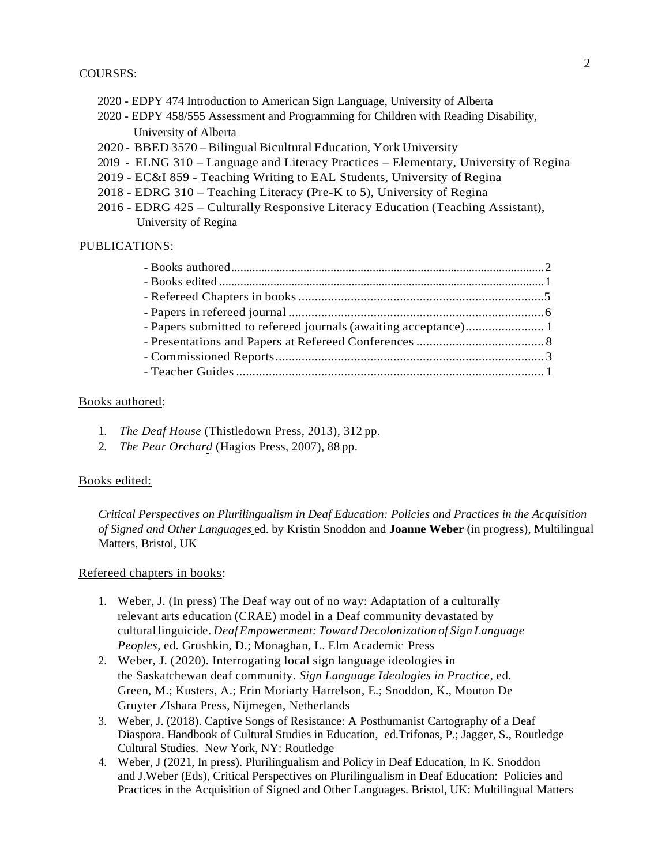## COURSES:

- 2020 EDPY 474 Introduction to American Sign Language, University of Alberta
- 2020 EDPY 458/555 Assessment and Programming for Children with Reading Disability, University of Alberta
- 2020 BBED 3570 Bilingual Bicultural Education, York University
- 2019 ELNG 310 Language and Literacy Practices Elementary, University of Regina
- 2019 EC&I 859 Teaching Writing to EAL Students, University of Regina
- 2018 EDRG 310 Teaching Literacy (Pre-K to 5), University of Regina
- 2016 EDRG 425 Culturally Responsive Literacy Education (Teaching Assistant), University of Regina

## PUBLICATIONS:

# Books authored:

- 1. *The Deaf House* (Thistledown Press, 2013), 312 pp.
- 2. *The Pear Orchard* (Hagios Press, 2007), 88 pp.

### Books edited:

*Critical Perspectives on Plurilingualism in Deaf Education: Policies and Practices in the Acquisition of Signed and Other Languages* ed. by Kristin Snoddon and **Joanne Weber** (in progress), Multilingual Matters, Bristol, UK

### Refereed chapters in books:

- 1. Weber, J. (In press) The Deaf way out of no way: Adaptation of a culturally relevant arts education (CRAE) model in a Deaf community devastated by cultural linguicide. *Deaf Empowerment: Toward Decolonization of Sign Language Peoples*, ed. Grushkin, D.; Monaghan, L. Elm Academic Press
- 2. Weber, J. (2020). Interrogating local sign language ideologies in the Saskatchewan deaf community. *Sign Language Ideologies in Practice*, ed. Green, M.; Kusters, A.; Erin Moriarty Harrelson, E.; Snoddon, K., Mouton De Gruyter /Ishara Press, Nijmegen, Netherlands
- 3. Weber, J. (2018). Captive Songs of Resistance: A Posthumanist Cartography of a Deaf Diaspora. Handbook of Cultural Studies in Education, ed.Trifonas, P.; Jagger, S., Routledge Cultural Studies. New York, NY: Routledge
- 4. Weber, J (2021, In press). Plurilingualism and Policy in Deaf Education, In K. Snoddon and J.Weber (Eds), Critical Perspectives on Plurilingualism in Deaf Education: Policies and Practices in the Acquisition of Signed and Other Languages. Bristol, UK: Multilingual Matters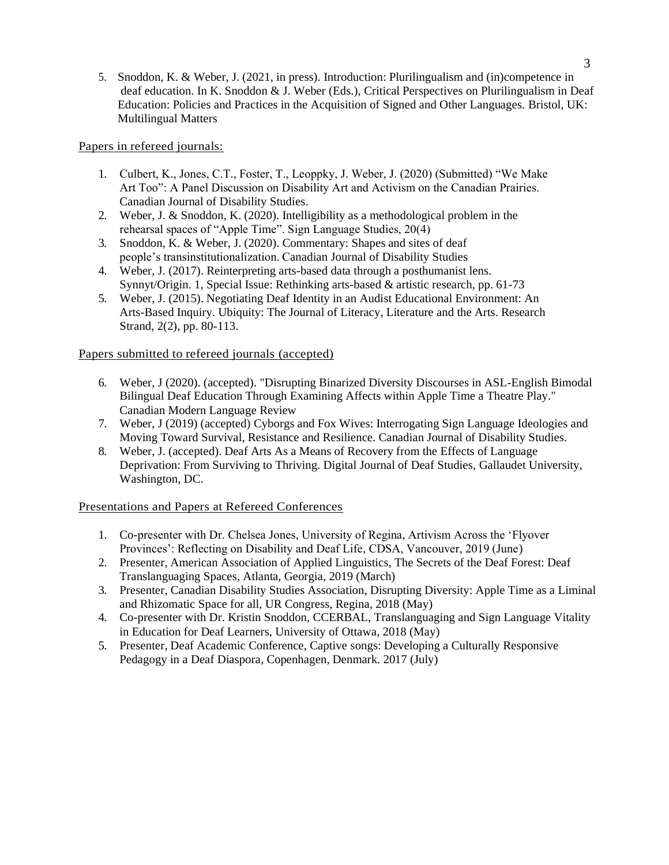5. Snoddon, K. & Weber, J. (2021, in press). Introduction: Plurilingualism and (in)competence in deaf education. In K. Snoddon & J. Weber (Eds.), Critical Perspectives on Plurilingualism in Deaf Education: Policies and Practices in the Acquisition of Signed and Other Languages. Bristol, UK: Multilingual Matters

Papers in refereed journals:

- 1. Culbert, K., Jones, C.T., Foster, T., Leoppky, J. Weber, J. (2020) (Submitted) "We Make Art Too": A Panel Discussion on Disability Art and Activism on the Canadian Prairies. Canadian Journal of Disability Studies.
- 2. Weber, J. & Snoddon, K. (2020). Intelligibility as a methodological problem in the rehearsal spaces of "Apple Time". Sign Language Studies, 20(4)
- 3. Snoddon, K. & Weber, J. (2020). Commentary: Shapes and sites of deaf people's transinstitutionalization. Canadian Journal of Disability Studies
- 4. Weber, J. (2017). Reinterpreting arts-based data through a posthumanist lens. Synnyt/Origin. 1, Special Issue: Rethinking arts-based & artistic research, pp. 61-73
- 5. Weber, J. (2015). Negotiating Deaf Identity in an Audist Educational Environment: An Arts-Based Inquiry. Ubiquity: The Journal of Literacy, Literature and the Arts. Research Strand, 2(2), pp. 80-113.

Papers submitted to refereed journals (accepted)

- 6. Weber, J (2020). (accepted). "Disrupting Binarized Diversity Discourses in ASL-English Bimodal Bilingual Deaf Education Through Examining Affects within Apple Time a Theatre Play." Canadian Modern Language Review
- 7. Weber, J (2019) (accepted) Cyborgs and Fox Wives: Interrogating Sign Language Ideologies and Moving Toward Survival, Resistance and Resilience. Canadian Journal of Disability Studies.
- 8. Weber, J. (accepted). Deaf Arts As a Means of Recovery from the Effects of Language Deprivation: From Surviving to Thriving. Digital Journal of Deaf Studies, Gallaudet University, Washington, DC.

Presentations and Papers at Refereed Conferences

- 1. Co-presenter with Dr. Chelsea Jones, University of Regina, Artivism Across the 'Flyover Provinces': Reflecting on Disability and Deaf Life, CDSA, Vancouver, 2019 (June)
- 2. Presenter, American Association of Applied Linguistics, The Secrets of the Deaf Forest: Deaf Translanguaging Spaces, Atlanta, Georgia, 2019 (March)
- 3. Presenter, Canadian Disability Studies Association, Disrupting Diversity: Apple Time as a Liminal and Rhizomatic Space for all, UR Congress, Regina, 2018 (May)
- 4. Co-presenter with Dr. Kristin Snoddon, CCERBAL, Translanguaging and Sign Language Vitality in Education for Deaf Learners, University of Ottawa, 2018 (May)
- 5. Presenter, Deaf Academic Conference, Captive songs: Developing a Culturally Responsive Pedagogy in a Deaf Diaspora, Copenhagen, Denmark. 2017 (July)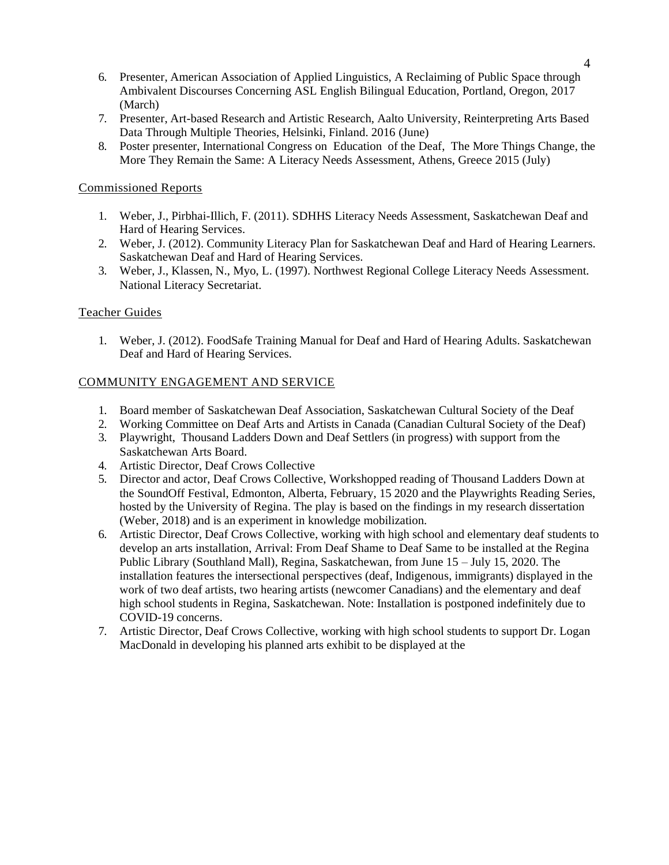- 6. Presenter, American Association of Applied Linguistics, A Reclaiming of Public Space through Ambivalent Discourses Concerning ASL English Bilingual Education, Portland, Oregon, 2017 (March)
- 7. Presenter, Art-based Research and Artistic Research, Aalto University, Reinterpreting Arts Based Data Through Multiple Theories, Helsinki, Finland. 2016 (June)
- 8. Poster presenter, International Congress on Education of the Deaf, The More Things Change, the More They Remain the Same: A Literacy Needs Assessment, Athens, Greece 2015 (July)

# Commissioned Reports

- 1. Weber, J., Pirbhai-Illich, F. (2011). SDHHS Literacy Needs Assessment, Saskatchewan Deaf and Hard of Hearing Services.
- 2. Weber, J. (2012). Community Literacy Plan for Saskatchewan Deaf and Hard of Hearing Learners. Saskatchewan Deaf and Hard of Hearing Services.
- 3. Weber, J., Klassen, N., Myo, L. (1997). Northwest Regional College Literacy Needs Assessment. National Literacy Secretariat.

# Teacher Guides

1. Weber, J. (2012). FoodSafe Training Manual for Deaf and Hard of Hearing Adults. Saskatchewan Deaf and Hard of Hearing Services.

# COMMUNITY ENGAGEMENT AND SERVICE

- 1. Board member of Saskatchewan Deaf Association, Saskatchewan Cultural Society of the Deaf
- 2. Working Committee on Deaf Arts and Artists in Canada (Canadian Cultural Society of the Deaf)
- 3. Playwright, Thousand Ladders Down and Deaf Settlers (in progress) with support from the Saskatchewan Arts Board.
- 4. Artistic Director, Deaf Crows Collective
- 5. Director and actor, Deaf Crows Collective, Workshopped reading of Thousand Ladders Down at the SoundOff Festival, Edmonton, Alberta, February, 15 2020 and the Playwrights Reading Series, hosted by the University of Regina. The play is based on the findings in my research dissertation (Weber, 2018) and is an experiment in knowledge mobilization.
- 6. Artistic Director, Deaf Crows Collective, working with high school and elementary deaf students to develop an arts installation, Arrival: From Deaf Shame to Deaf Same to be installed at the Regina Public Library (Southland Mall), Regina, Saskatchewan, from June 15 – July 15, 2020. The installation features the intersectional perspectives (deaf, Indigenous, immigrants) displayed in the work of two deaf artists, two hearing artists (newcomer Canadians) and the elementary and deaf high school students in Regina, Saskatchewan. Note: Installation is postponed indefinitely due to COVID-19 concerns.
- 7. Artistic Director, Deaf Crows Collective, working with high school students to support Dr. Logan MacDonald in developing his planned arts exhibit to be displayed at the